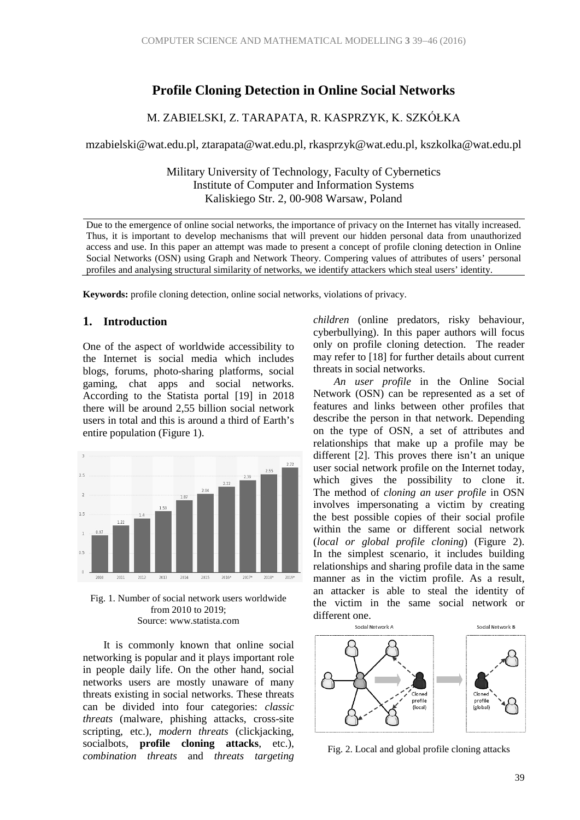## **Profile Cloning Detection in Online Social Networks**

### M. ZABIELSKI, Z. TARAPATA, R. KASPRZYK, K. SZKÓŁKA

mzabielski@wat.edu.pl, ztarapata@wat.edu.pl, rkasprzyk@wat.edu.pl, kszkolka@wat.edu.pl

Military University of Technology, Faculty of Cybernetics Institute of Computer and Information Systems Kaliskiego Str. 2, 00-908 Warsaw, Poland

Due to the emergence of online social networks, the importance of privacy on the Internet has vitally increased. Thus, it is important to develop mechanisms that will prevent our hidden personal data from unauthorized access and use. In this paper an attempt was made to present a concept of profile cloning detection in Online Social Networks (OSN) using Graph and Network Theory. Compering values of attributes of users' personal profiles and analysing structural similarity of networks, we identify attackers which steal users' identity.

**Keywords:** profile cloning detection, online social networks, violations of privacy.

### **1. Introduction**

One of the aspect of worldwide accessibility to the Internet is social media which includes blogs, forums, photo-sharing platforms, social gaming, chat apps and social networks. According to the Statista portal [19] in 2018 there will be around 2,55 billion social network users in total and this is around a third of Earth's entire population (Figure 1).



Fig. 1. Number of social network users worldwide from 2010 to 2019; Source: www.statista.com

It is commonly known that online social networking is popular and it plays important role in people daily life. On the other hand, social networks users are mostly unaware of many threats existing in social networks. These threats can be divided into four categories: *classic threats* (malware, phishing attacks, cross-site scripting, etc.), *modern threats* (clickjacking, socialbots, **profile cloning attacks**, etc.), *combination threats* and *threats targeting* 

*children* (online predators, risky behaviour, cyberbullying). In this paper authors will focus only on profile cloning detection. The reader may refer to [18] for further details about current threats in social networks.

*An user profile* in the Online Social Network (OSN) can be represented as a set of features and links between other profiles that describe the person in that network. Depending on the type of OSN, a set of attributes and relationships that make up a profile may be different [2]. This proves there isn't an unique user social network profile on the Internet today, which gives the possibility to clone it. The method of *cloning an user profile* in OSN involves impersonating a victim by creating the best possible copies of their social profile within the same or different social network (*local or global profile cloning*) (Figure 2). In the simplest scenario, it includes building relationships and sharing profile data in the same manner as in the victim profile. As a result, an attacker is able to steal the identity of the victim in the same social network or different one.



Fig. 2. Local and global profile cloning attacks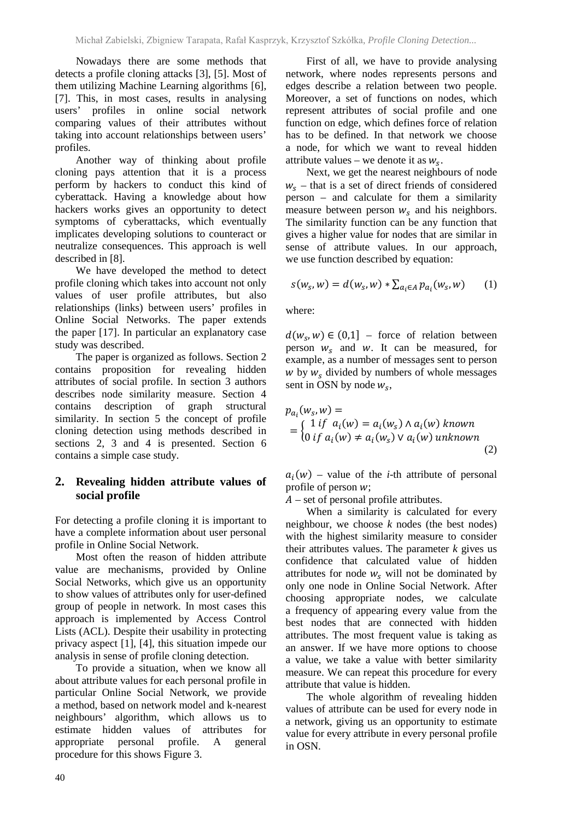Nowadays there are some methods that detects a profile cloning attacks [3], [5]. Most of them utilizing Machine Learning algorithms [6], [7]. This, in most cases, results in analysing users' profiles in online social network comparing values of their attributes without taking into account relationships between users' profiles.

Another way of thinking about profile cloning pays attention that it is a process perform by hackers to conduct this kind of cyberattack. Having a knowledge about how hackers works gives an opportunity to detect symptoms of cyberattacks, which eventually implicates developing solutions to counteract or neutralize consequences. This approach is well described in [8].

We have developed the method to detect profile cloning which takes into account not only values of user profile attributes, but also relationships (links) between users' profiles in Online Social Networks. The paper extends the paper [17]. In particular an explanatory case study was described.

The paper is organized as follows. Section 2 contains proposition for revealing hidden attributes of social profile. In section 3 authors describes node similarity measure. Section 4 contains description of graph structural similarity. In section 5 the concept of profile cloning detection using methods described in sections 2, 3 and 4 is presented. Section 6 contains a simple case study.

### **2. Revealing hidden attribute values of social profile**

For detecting a profile cloning it is important to have a complete information about user personal profile in Online Social Network.

Most often the reason of hidden attribute value are mechanisms, provided by Online Social Networks, which give us an opportunity to show values of attributes only for user-defined group of people in network. In most cases this approach is implemented by Access Control Lists (ACL). Despite their usability in protecting privacy aspect [1], [4], this situation impede our analysis in sense of profile cloning detection.

To provide a situation, when we know all about attribute values for each personal profile in particular Online Social Network, we provide a method, based on network model and k-nearest neighbours' algorithm, which allows us to estimate hidden values of attributes for appropriate personal profile. A general procedure for this shows Figure 3.

First of all, we have to provide analysing network, where nodes represents persons and edges describe a relation between two people. Moreover, a set of functions on nodes, which represent attributes of social profile and one function on edge, which defines force of relation has to be defined. In that network we choose a node, for which we want to reveal hidden attribute values – we denote it as  $w_{\rm s}$ .

Next, we get the nearest neighbours of node  $w_s$  – that is a set of direct friends of considered person – and calculate for them a similarity measure between person  $w<sub>s</sub>$  and his neighbors. The similarity function can be any function that gives a higher value for nodes that are similar in sense of attribute values. In our approach, we use function described by equation:

$$
s(w_s, w) = d(w_s, w) * \sum_{a_i \in A} p_{a_i}(w_s, w)
$$
 (1)

where:

 $d(w_s, w) \in (0, 1]$  – force of relation between person  $w_s$  and  $w$ . It can be measured, for example, as a number of messages sent to person  $w$  by  $w_s$  divided by numbers of whole messages sent in OSN by node  $w_s$ ,

$$
p_{a_i}(w_s, w) =
$$
  
= { 1 if  $a_i(w) = a_i(w_s) \land a_i(w)$  known  
0 if  $a_i(w) \neq a_i(w_s) \lor a_i(w)$  unknown (2)

 $a_i(w)$  – value of the *i*-th attribute of personal profile of person  $w$ ;

 $A$  – set of personal profile attributes.

When a similarity is calculated for every neighbour, we choose *k* nodes (the best nodes) with the highest similarity measure to consider their attributes values. The parameter  $k$  gives us confidence that calculated value of hidden attributes for node  $w_s$  will not be dominated by only one node in Online Social Network. After choosing appropriate nodes, we calculate a frequency of appearing every value from the best nodes that are connected with hidden attributes. The most frequent value is taking as an answer. If we have more options to choose a value, we take a value with better similarity measure. We can repeat this procedure for every attribute that value is hidden.

The whole algorithm of revealing hidden values of attribute can be used for every node in a network, giving us an opportunity to estimate value for every attribute in every personal profile in OSN.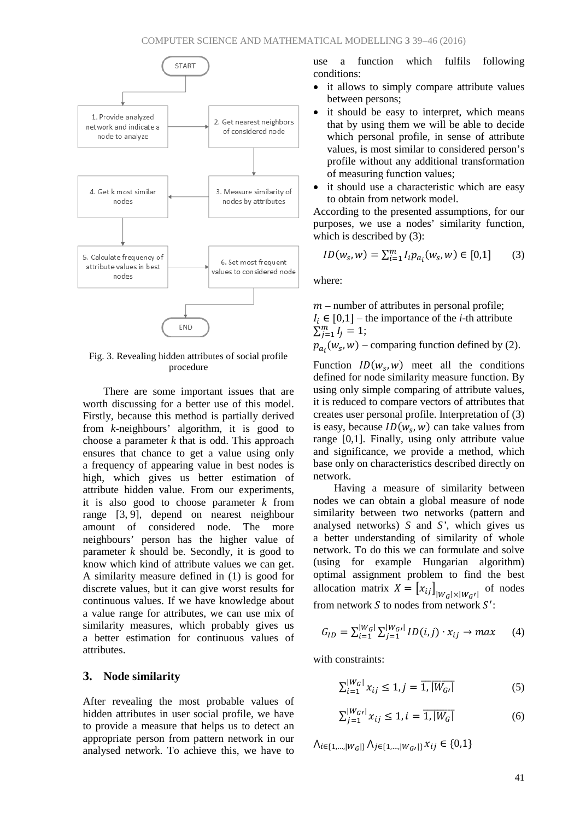

Fig. 3. Revealing hidden attributes of social profile procedure

There are some important issues that are worth discussing for a better use of this model. Firstly, because this method is partially derived from *k*-neighbours' algorithm, it is good to choose a parameter *k* that is odd. This approach ensures that chance to get a value using only a frequency of appearing value in best nodes is high, which gives us better estimation of attribute hidden value. From our experiments, it is also good to choose parameter *k* from range [3, 9], depend on nearest neighbour amount of considered node. The more neighbours' person has the higher value of parameter *k* should be. Secondly, it is good to know which kind of attribute values we can get. A similarity measure defined in (1) is good for discrete values, but it can give worst results for continuous values. If we have knowledge about a value range for attributes, we can use mix of similarity measures, which probably gives us a better estimation for continuous values of attributes.

#### **3. Node similarity**

After revealing the most probable values of hidden attributes in user social profile, we have to provide a measure that helps us to detect an appropriate person from pattern network in our analysed network. To achieve this, we have to

use a function which fulfils following conditions:

- it allows to simply compare attribute values between persons;
- it should be easy to interpret, which means that by using them we will be able to decide which personal profile, in sense of attribute values, is most similar to considered person's profile without any additional transformation of measuring function values;
- it should use a characteristic which are easy to obtain from network model.

According to the presented assumptions, for our purposes, we use a nodes' similarity function, which is described by (3):

$$
ID(ws, w) = \sum_{i=1}^{m} I_i p_{a_i}(w_s, w) \in [0, 1]
$$
 (3)

where:

 $m$  – number of attributes in personal profile;  $I_i \in [0,1]$  – the importance of the *i*-th attribute  $\sum_{j=1}^{m} I_j = 1;$ 

 $p_{a_i}(w_s, w)$  – comparing function defined by (2).

Function  $ID(w_s, w)$  meet all the conditions defined for node similarity measure function. By using only simple comparing of attribute values, it is reduced to compare vectors of attributes that creates user personal profile. Interpretation of (3) is easy, because  $ID(w<sub>s</sub>, w)$  can take values from range [0,1]. Finally, using only attribute value and significance, we provide a method, which base only on characteristics described directly on network.

Having a measure of similarity between nodes we can obtain a global measure of node similarity between two networks (pattern and analysed networks) *S* and *S'*, which gives us a better understanding of similarity of whole network. To do this we can formulate and solve (using for example Hungarian algorithm) optimal assignment problem to find the best allocation matrix  $X = [x_{ij}]_{|W_G| \times |W_G|}$  of nodes from network  $S$  to nodes from network  $S'$ :

$$
G_{ID} = \sum_{i=1}^{|W_G|} \sum_{j=1}^{|W_G|} ID(i,j) \cdot x_{ij} \to max \qquad (4)
$$

with constraints:

$$
\sum_{i=1}^{|W_G|} x_{ij} \le 1, j = \overline{1, |W_G|} \tag{5}
$$

$$
\sum_{j=1}^{|W_{GI}|} x_{ij} \le 1, i = \overline{1, |W_G|}
$$
 (6)

 $\Lambda_{i \in \{1,\dots,|W_G|\}} \Lambda_{j \in \{1,\dots,|W_G|\}} x_{ij} \in \{0,1\}$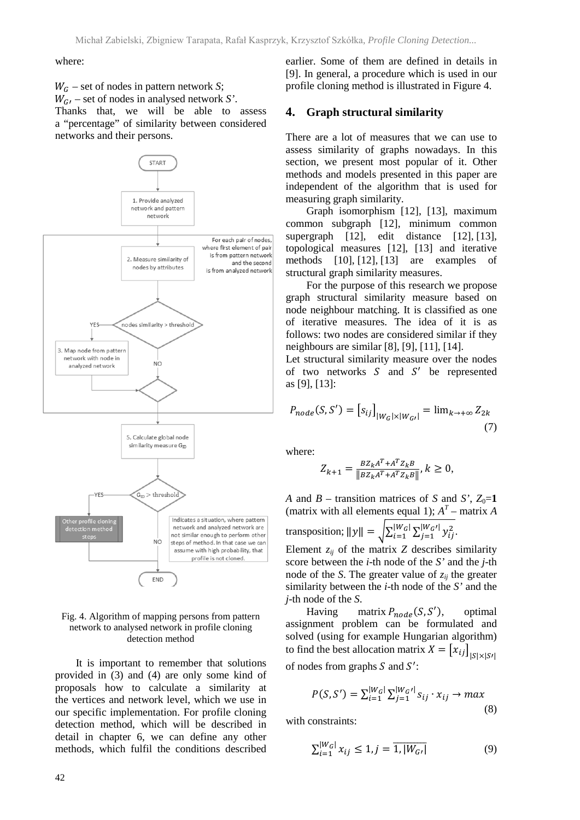#### where:

 – set of nodes in pattern network *S*;  $W_{G}$  – set of nodes in analysed network *S*'. Thanks that, we will be able to assess a "percentage" of similarity between considered networks and their persons.



#### Fig. 4. Algorithm of mapping persons from pattern network to analysed network in profile cloning detection method

It is important to remember that solutions provided in (3) and (4) are only some kind of proposals how to calculate a similarity at the vertices and network level, which we use in our specific implementation. For profile cloning detection method, which will be described in detail in chapter 6, we can define any other methods, which fulfil the conditions described earlier. Some of them are defined in details in [9]. In general, a procedure which is used in our profile cloning method is illustrated in Figure 4.

#### **4. Graph structural similarity**

There are a lot of measures that we can use to assess similarity of graphs nowadays. In this section, we present most popular of it. Other methods and models presented in this paper are independent of the algorithm that is used for measuring graph similarity.

Graph isomorphism [12], [13], maximum common subgraph [12], minimum common supergraph [12], edit distance [12], [13], topological measures [12], [13] and iterative methods [10], [12], [13] are examples of structural graph similarity measures.

For the purpose of this research we propose graph structural similarity measure based on node neighbour matching. It is classified as one of iterative measures. The idea of it is as follows: two nodes are considered similar if they neighbours are similar [8], [9], [11], [14].

Let structural similarity measure over the nodes of two networks  $S$  and  $S'$  be represented as [9], [13]:

$$
P_{node}(S, S') = [s_{ij}]_{|W_G| \times |W_G|} = \lim_{k \to +\infty} Z_{2k}
$$
\n(7)

where:

$$
Z_{k+1} = \frac{BZ_k A^T + A^T Z_k B}{\|BZ_k A^T + A^T Z_k B\|}, k \ge 0,
$$

*A* and *B* – transition matrices of *S* and *S'*,  $Z_0=1$ (matrix with all elements equal 1);  $A<sup>T</sup>$  – matrix *A* 

transposition; 
$$
||y|| = \sqrt{\sum_{i=1}^{|W_G|} \sum_{j=1}^{|W_G|} y_{ij}^2}
$$
.

Element  $z_{ij}$  of the matrix  $Z$  describes similarity score between the *i*-th node of the *S'* and the *j*-th node of the *S*. The greater value of  $z_{ij}$  the greater similarity between the *i*-th node of the *S'* and the *j*-th node of the *S*.

Having matrix  $P_{node}(S, S'),$ ), optimal assignment problem can be formulated and solved (using for example Hungarian algorithm) to find the best allocation matrix  $X = [x_{ij}]_{|S| \times |S^j|}$ of nodes from graphs  $S$  and  $S'$ :

$$
P(S, S') = \sum_{i=1}^{|W_G|} \sum_{j=1}^{|W_G|} s_{ij} \cdot x_{ij} \to max
$$
\n(8)

with constraints:

$$
\sum_{i=1}^{|W_G|} x_{ij} \le 1, j = \overline{1, |W_G|} \tag{9}
$$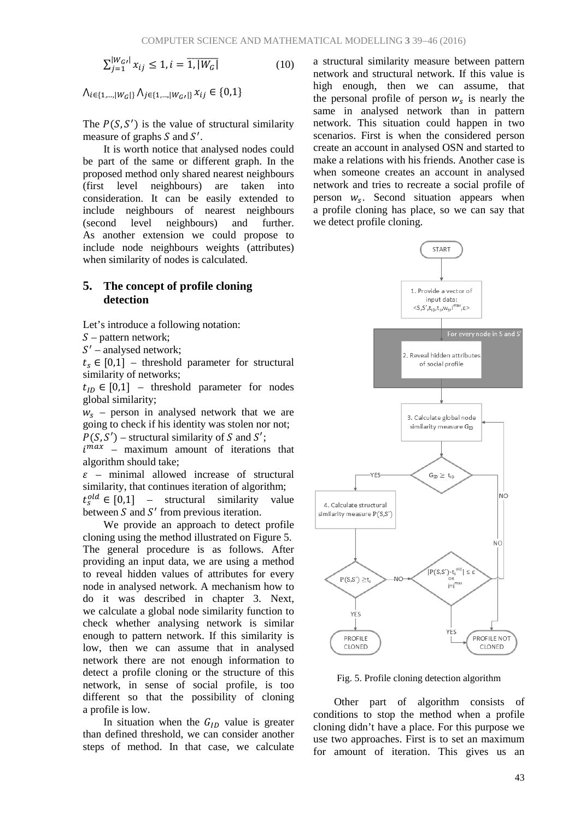$\sum_{j=1}^{|W_{GI}|} x_{ij} \le 1, i = \overline{1, |W_G|}$  (10)

 $\Lambda_{i \in \{1,\dots,|W_G|\}} \Lambda_{i \in \{1,\dots,|W_G|\}} x_{ij} \in \{0,1\}$ 

The  $P(S, S')$  is the value of structural similarity measure of graphs  $S$  and  $S'$ .

It is worth notice that analysed nodes could be part of the same or different graph. In the proposed method only shared nearest neighbours (first level neighbours) are taken into consideration. It can be easily extended to include neighbours of nearest neighbours (second level neighbours) and further. As another extension we could propose to include node neighbours weights (attributes) when similarity of nodes is calculated.

## **5. The concept of profile cloning detection**

Let's introduce a following notation:

 $S$  – pattern network;

 $S'$  – analysed network;

 $t_s \in [0,1]$  – threshold parameter for structural similarity of networks;

 $t_{10} \in [0,1]$  – threshold parameter for nodes global similarity;

 $W<sub>s</sub>$  – person in analysed network that we are going to check if his identity was stolen nor not;  $P(S, S')$  – structural similarity of S and S';

 $i^{max}$  – maximum amount of iterations that algorithm should take;

 $\epsilon$  – minimal allowed increase of structural similarity, that continues iteration of algorithm;  $t_s^{old} \in [0,1]$  – structural similarity value between  $S$  and  $S'$  from previous iteration.

We provide an approach to detect profile cloning using the method illustrated on Figure 5. The general procedure is as follows. After providing an input data, we are using a method to reveal hidden values of attributes for every node in analysed network. A mechanism how to do it was described in chapter 3. Next, we calculate a global node similarity function to check whether analysing network is similar enough to pattern network. If this similarity is low, then we can assume that in analysed network there are not enough information to detect a profile cloning or the structure of this network, in sense of social profile, is too different so that the possibility of cloning a profile is low.

In situation when the  $G<sub>ID</sub>$  value is greater than defined threshold, we can consider another steps of method. In that case, we calculate a structural similarity measure between pattern network and structural network. If this value is high enough, then we can assume, that the personal profile of person  $w_s$  is nearly the same in analysed network than in pattern network. This situation could happen in two scenarios. First is when the considered person create an account in analysed OSN and started to make a relations with his friends. Another case is when someone creates an account in analysed network and tries to recreate a social profile of person  $W_s$ . Second situation appears when a profile cloning has place, so we can say that we detect profile cloning.



Fig. 5. Profile cloning detection algorithm

Other part of algorithm consists of conditions to stop the method when a profile cloning didn't have a place. For this purpose we use two approaches. First is to set an maximum for amount of iteration. This gives us an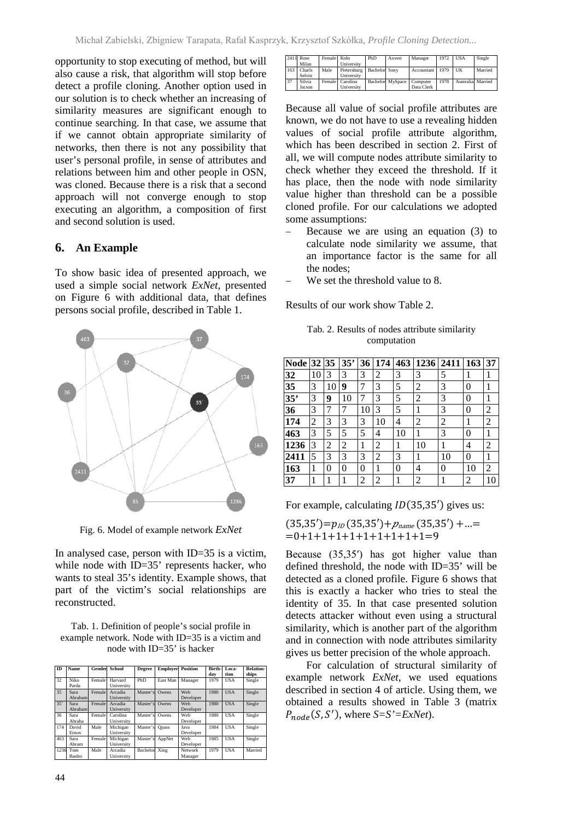opportunity to stop executing of method, but will also cause a risk, that algorithm will stop before detect a profile cloning. Another option used in our solution is to check whether an increasing of similarity measures are significant enough to continue searching. In that case, we assume that if we cannot obtain appropriate similarity of networks, then there is not any possibility that user's personal profile, in sense of attributes and relations between him and other people in OSN, was cloned. Because there is a risk that a second approach will not converge enough to stop executing an algorithm, a composition of first and second solution is used.

### **6. An Example**

To show basic idea of presented approach, we used a simple social network *ExNet*, presented on Figure 6 with additional data, that defines persons social profile, described in Table 1.



Fig. 6. Model of example network *ExNet*

In analysed case, person with ID=35 is a victim, while node with ID=35' represents hacker, who wants to steal 35's identity. Example shows, that part of the victim's social relationships are reconstructed.

Tab. 1. Definition of people's social profile in example network. Node with ID=35 is a victim and node with ID=35' is hacker

| ID   | <b>Name</b>     | Gender | <b>School</b>          | <b>Degree</b> | <b>Employer</b> | <b>Position</b>    | <b>Birth-</b><br>dav | Loca-<br>tion | <b>Relation-</b><br>ships |
|------|-----------------|--------|------------------------|---------------|-----------------|--------------------|----------------------|---------------|---------------------------|
| 32   | Niko<br>Parda   | Female | Harvard<br>University  | PhD           | East Man        | Manager            | 1979                 | <b>USA</b>    | Single                    |
| 35   | Sara<br>Abraham | Female | Arcadia<br>University  | Master's      | Owens           | Web<br>Developer   | 1980                 | <b>USA</b>    | Single                    |
| 35'  | Sara<br>Abraham | Female | Arcadia<br>University  | Master's      | Owens           | Web<br>Developer   | 1980                 | <b>USA</b>    | Single                    |
| 36   | Sara<br>Abraha  | Female | Carolina<br>University | Master's      | Owens           | Web<br>Developer   | 1980                 | USA           | Single                    |
| 174  | David<br>Ernox  | Male   | Michigan<br>University | Master's      | <b>Opass</b>    | Java<br>Developer  | 1984                 | <b>USA</b>    | Single                    |
| 463  | Sara<br>Abram   | Female | Michigan<br>University | Master's      | AppNet          | Web<br>Developer   | 1985                 | <b>USA</b>    | Single                    |
| 1236 | Tom<br>Banho    | Male   | Arcadia<br>University  | Bachelor      | Xing            | Network<br>Manager | 1979                 | USA           | Married                   |

|     | 2411 Rose<br>Milan | Female Koln | University                    | PhD           | Axvert           | Manager                | 1972 | <b>USA</b>        | Single  |
|-----|--------------------|-------------|-------------------------------|---------------|------------------|------------------------|------|-------------------|---------|
| 163 | Charls<br>Selvin   | Male        | Pietersburg  <br>University   | Bachelor Sony |                  | Accountant 1979        |      | UК                | Married |
| 37  | Silvia<br>Jacson   |             | Female Carolina<br>University |               | Bachelor MySpace | Computer<br>Data Clerk | 1978 | Australia Married |         |

Because all value of social profile attributes are known, we do not have to use a revealing hidden values of social profile attribute algorithm, which has been described in section 2. First of all, we will compute nodes attribute similarity to check whether they exceed the threshold. If it has place, then the node with node similarity value higher than threshold can be a possible cloned profile. For our calculations we adopted some assumptions:

- Because we are using an equation (3) to calculate node similarity we assume, that an importance factor is the same for all the nodes;
- We set the threshold value to 8.

Results of our work show Table 2.

Tab. 2. Results of nodes attribute similarity computation

| <b>Node</b> | 32 35 |    | 35' | 36 | 174 |    | 463 1236 2411  |    | 163 | 37             |
|-------------|-------|----|-----|----|-----|----|----------------|----|-----|----------------|
| 32          | 10    | 3  | 3   | 3  | 2   | 3  | 3              | 5  | 1   | 1              |
| 35          | 3     | 10 | 9   | 7  | 3   | 5  | $\overline{c}$ | 3  | 0   |                |
| 35'         | 3     | 9  | 10  |    | 3   | 5  | 2              | 3  | 0   |                |
| 36          | 3     | 7  |     | 10 | 3   | 5  | 1              | 3  | 0   | 2              |
| 174         | 2     | 3  | 3   | 3  | 10  | 4  | 2              | 2  | 1   | $\overline{c}$ |
| 463         | 3     | 5  | 5   | 5  | 4   | 10 |                | 3  | 0   |                |
| 1236        | 3     | 2  | 2   | 1  | 2   | 1  | 10             |    | 4   | $\overline{c}$ |
| 2411        | 5     | 3  | 3   | 3  | 2   | 3  |                | 10 | 0   |                |
| 163         | 1     | 0  | 0   | 0  | 1   | 0  | 4              | 0  | 10  | 2              |
| 37          |       |    |     | 2  | 2   |    | 2              |    | 2   | 10             |

For example, calculating  $ID(35,35')$  gives us:

$$
(35,35') = p_{ID} (35,35') + p_{name} (35,35') + \dots = 0 + 1 + 1 + 1 + 1 + 1 + 1 + 1 + 1 = 9
$$

Because (35,35′) has got higher value than defined threshold, the node with ID=35' will be detected as a cloned profile. Figure 6 shows that this is exactly a hacker who tries to steal the identity of 35. In that case presented solution detects attacker without even using a structural similarity, which is another part of the algorithm and in connection with node attributes similarity gives us better precision of the whole approach.

For calculation of structural similarity of example network *ExNet*, we used equations described in section 4 of article. Using them, we obtained a results showed in Table 3 (matrix  $P_{node}(S, S')$ , where  $S=S'=\text{ExNet}$ ).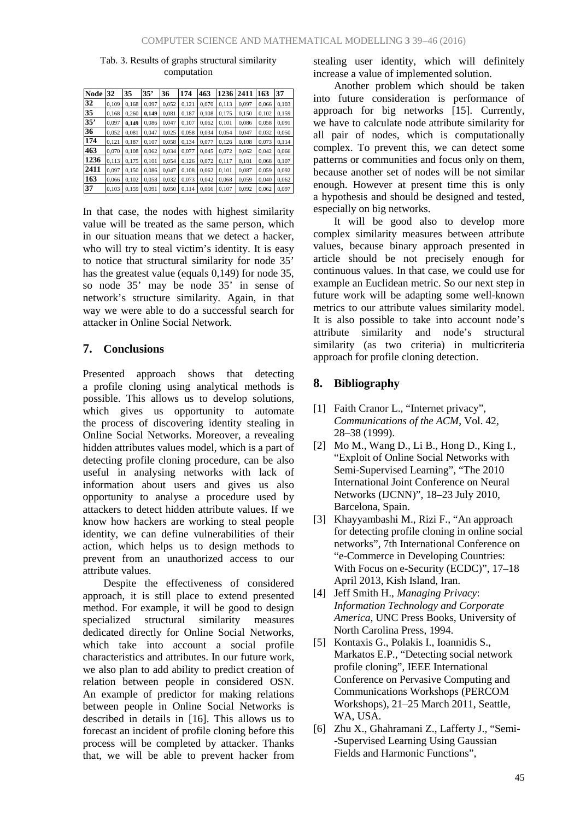| <b>Node</b> | 32    | 35    | 35'   | 36    | 174   | 463   | 1236  | 2411  | 163   | 37    |
|-------------|-------|-------|-------|-------|-------|-------|-------|-------|-------|-------|
| 32          | 0,109 | 0.168 | 0,097 | 0,052 | 0,121 | 0.070 | 0,113 | 0.097 | 0.066 | 0,103 |
| 35          | 0.168 | 0.260 | 0.149 | 0.081 | 0.187 | 0.108 | 0,175 | 0.150 | 0.102 | 0,159 |
| 35"         | 0,097 | 0.149 | 0,086 | 0,047 | 0,107 | 0,062 | 0,101 | 0,086 | 0,058 | 0,091 |
| 36          | 0.052 | 0.081 | 0.047 | 0,025 | 0.058 | 0.034 | 0.054 | 0.047 | 0,032 | 0,050 |
| 174         | 0,121 | 0.187 | 0.107 | 0,058 | 0,134 | 0.077 | 0,126 | 0,108 | 0,073 | 0,114 |
| 463         | 0.070 | 0.108 | 0.062 | 0,034 | 0.077 | 0.045 | 0.072 | 0,062 | 0,042 | 0,066 |
| 1236        | 0,113 | 0.175 | 0.101 | 0,054 | 0,126 | 0,072 | 0,117 | 0,101 | 0,068 | 0,107 |
| 2411        | 0.097 | 0,150 | 0,086 | 0,047 | 0,108 | 0,062 | 0,101 | 0,087 | 0,059 | 0,092 |
| 163         | 0.066 | 0.102 | 0.058 | 0,032 | 0.073 | 0,042 | 0.068 | 0.059 | 0.040 | 0,062 |
| 37          | 0.103 | 0.159 | 0.091 | 0,050 | 0.114 | 0.066 | 0.107 | 0.092 | 0.062 | 0.097 |

#### Tab. 3. Results of graphs structural similarity computation

In that case, the nodes with highest similarity value will be treated as the same person, which in our situation means that we detect a hacker, who will try to steal victim's identity. It is easy to notice that structural similarity for node 35' has the greatest value (equals 0,149) for node 35, so node 35' may be node 35' in sense of network's structure similarity. Again, in that way we were able to do a successful search for attacker in Online Social Network.

### **7. Conclusions**

Presented approach shows that detecting a profile cloning using analytical methods is possible. This allows us to develop solutions, which gives us opportunity to automate the process of discovering identity stealing in Online Social Networks. Moreover, a revealing hidden attributes values model, which is a part of detecting profile cloning procedure, can be also useful in analysing networks with lack of information about users and gives us also opportunity to analyse a procedure used by attackers to detect hidden attribute values. If we know how hackers are working to steal people identity, we can define vulnerabilities of their action, which helps us to design methods to prevent from an unauthorized access to our attribute values.

Despite the effectiveness of considered approach, it is still place to extend presented method. For example, it will be good to design specialized structural similarity measures dedicated directly for Online Social Networks, which take into account a social profile characteristics and attributes. In our future work, we also plan to add ability to predict creation of relation between people in considered OSN. An example of predictor for making relations between people in Online Social Networks is described in details in [16]. This allows us to forecast an incident of profile cloning before this process will be completed by attacker. Thanks that, we will be able to prevent hacker from stealing user identity, which will definitely increase a value of implemented solution.

Another problem which should be taken into future consideration is performance of approach for big networks [15]. Currently, we have to calculate node attribute similarity for all pair of nodes, which is computationally complex. To prevent this, we can detect some patterns or communities and focus only on them, because another set of nodes will be not similar enough. However at present time this is only a hypothesis and should be designed and tested, especially on big networks.

It will be good also to develop more complex similarity measures between attribute values, because binary approach presented in article should be not precisely enough for continuous values. In that case, we could use for example an Euclidean metric. So our next step in future work will be adapting some well-known metrics to our attribute values similarity model. It is also possible to take into account node's attribute similarity and node's structural similarity (as two criteria) in multicriteria approach for profile cloning detection.

## **8. Bibliography**

- [1] Faith Cranor L., "Internet privacy", *Communications of the ACM*, Vol. 42, 28–38 (1999).
- [2] Mo M., Wang D., Li B., Hong D., King I., "Exploit of Online Social Networks with Semi-Supervised Learning", "The 2010 International Joint Conference on Neural Networks (IJCNN)", 18–23 July 2010, Barcelona, Spain.
- [3] Khayyambashi M., Rizi F., "An approach for detecting profile cloning in online social networks", 7th International Conference on "e-Commerce in Developing Countries: With Focus on e-Security (ECDC)", 17–18 April 2013, Kish Island, Iran.
- [4] Jeff Smith H., *Managing Privacy*: *Information Technology and Corporate America*, UNC Press Books, University of North Carolina Press, 1994.
- [5] Kontaxis G., Polakis I., Ioannidis S., Markatos E.P., "Detecting social network profile cloning", IEEE International Conference on Pervasive Computing and Communications Workshops (PERCOM Workshops), 21–25 March 2011, Seattle, WA, USA.
- [6] Zhu X., Ghahramani Z., Lafferty J., "Semi- -Supervised Learning Using Gaussian Fields and Harmonic Functions",